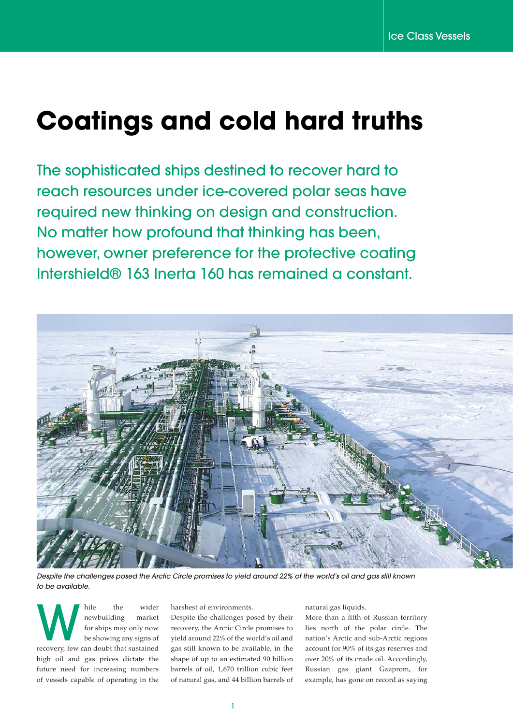# **Coatings and cold hard truths**

The sophisticated ships destined to recover hard to reach resources under ice-covered polar seas have required new thinking on design and construction. No matter how profound that thinking has been, however, owner preference for the protective coating Intershield® 163 Inerta 160 has remained a constant.



*Despite the challenges posed the Arctic Circle promises to yield around 22% of the world's oil and gas still known to be available.*

While the wider<br>
newbuilding market<br>
for ships may only now<br>
be showing any signs of<br>
recovery, few can doubt that sustained newbuilding market for ships may only now be showing any signs of high oil and gas prices dictate the future need for increasing numbers of vessels capable of operating in the

harshest of environments.

Despite the challenges posed by their recovery, the Arctic Circle promises to yield around 22% of the world's oil and gas still known to be available, in the shape of up to an estimated 90 billion barrels of oil, 1,670 trillion cubic feet of natural gas, and 44 billion barrels of natural gas liquids.

More than a fifth of Russian territory lies north of the polar circle. The nation's Arctic and sub-Arctic regions account for 90% of its gas reserves and over 20% of its crude oil. Accordingly, Russian gas giant Gazprom, for example, has gone on record as saying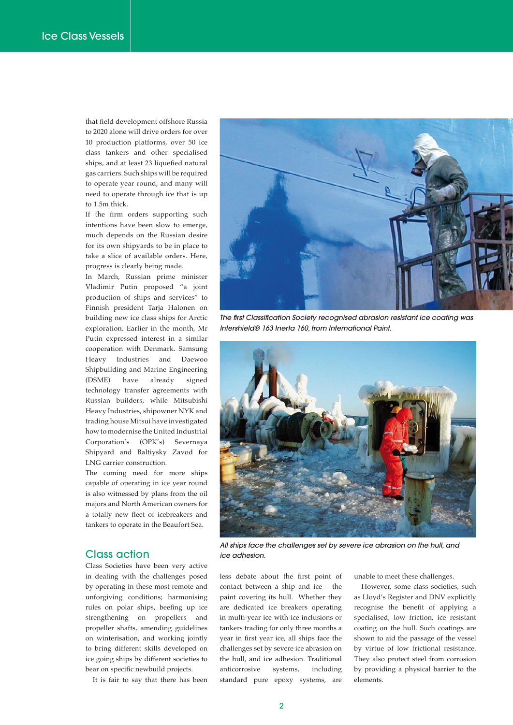that field development offshore Russia to 2020 alone will drive orders for over 10 production platforms, over 50 ice class tankers and other specialised ships, and at least 23 liquefied natural gas carriers. Such ships will be required to operate year round, and many will need to operate through ice that is up to 1.5m thick.

If the firm orders supporting such intentions have been slow to emerge, much depends on the Russian desire for its own shipyards to be in place to take a slice of available orders. Here, progress is clearly being made.

In March, Russian prime minister Vladimir Putin proposed "a joint production of ships and services" to Finnish president Tarja Halonen on building new ice class ships for Arctic exploration. Earlier in the month, Mr Putin expressed interest in a similar cooperation with Denmark. Samsung Heavy Industries and Daewoo Shipbuilding and Marine Engineering (DSME) have already signed technology transfer agreements with Russian builders, while Mitsubishi Heavy Industries, shipowner NYK and trading house Mitsui have investigated how to modernise the United Industrial Corporation's (OPK's) Severnaya Shipyard and Baltiysky Zavod for LNG carrier construction.

The coming need for more ships capable of operating in ice year round is also witnessed by plans from the oil majors and North American owners for a totally new fleet of icebreakers and tankers to operate in the Beaufort Sea.

## Class action

Class Societies have been very active in dealing with the challenges posed by operating in these most remote and unforgiving conditions; harmonising rules on polar ships, beefing up ice strengthening on propellers and propeller shafts, amending guidelines on winterisation, and working jointly to bring different skills developed on ice going ships by different societies to bear on specific newbuild projects.

It is fair to say that there has been



*The first Classification Society recognised abrasion resistant ice coating was Intershield® 163 Inerta 160, from International Paint.*



*All ships face the challenges set by severe ice abrasion on the hull, and ice adhesion.*

less debate about the first point of contact between a ship and ice – the paint covering its hull. Whether they are dedicated ice breakers operating in multi-year ice with ice inclusions or tankers trading for only three months a year in first year ice, all ships face the challenges set by severe ice abrasion on the hull, and ice adhesion. Traditional anticorrosive systems, including standard pure epoxy systems, are

unable to meet these challenges.

However, some class societies, such as Lloyd's Register and DNV explicitly recognise the benefit of applying a specialised, low friction, ice resistant coating on the hull. Such coatings are shown to aid the passage of the vessel by virtue of low frictional resistance. They also protect steel from corrosion by providing a physical barrier to the elements.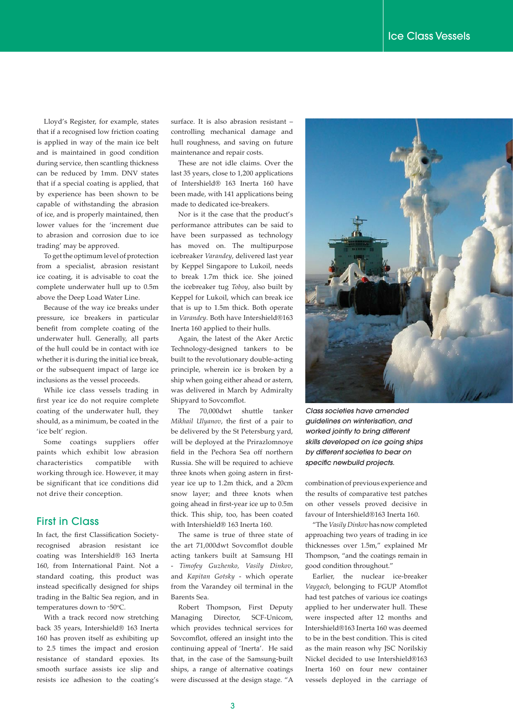Lloyd's Register, for example, states that if a recognised low friction coating is applied in way of the main ice belt and is maintained in good condition during service, then scantling thickness can be reduced by 1mm. DNV states that if a special coating is applied, that by experience has been shown to be capable of withstanding the abrasion of ice, and is properly maintained, then lower values for the 'increment due to abrasion and corrosion due to ice trading' may be approved.

To get the optimum level of protection from a specialist, abrasion resistant ice coating, it is advisable to coat the complete underwater hull up to 0.5m above the Deep Load Water Line.

Because of the way ice breaks under pressure, ice breakers in particular benefit from complete coating of the underwater hull. Generally, all parts of the hull could be in contact with ice whether it is during the initial ice break, or the subsequent impact of large ice inclusions as the vessel proceeds.

While ice class vessels trading in first year ice do not require complete coating of the underwater hull, they should, as a minimum, be coated in the 'ice belt' region.

Some coatings suppliers offer paints which exhibit low abrasion characteristics compatible with working through ice. However, it may be significant that ice conditions did not drive their conception.

#### First in Class

In fact, the first Classification Societyrecognised abrasion resistant ice coating was Intershield® 163 Inerta 160, from International Paint. Not a standard coating, this product was instead specifically designed for ships trading in the Baltic Sea region, and in temperatures down to -50°C.

With a track record now stretching back 35 years, Intershield® 163 Inerta 160 has proven itself as exhibiting up to 2.5 times the impact and erosion resistance of standard epoxies. Its smooth surface assists ice slip and resists ice adhesion to the coating's

surface. It is also abrasion resistant – controlling mechanical damage and hull roughness, and saving on future maintenance and repair costs.

These are not idle claims. Over the last 35 years, close to 1,200 applications of Intershield® 163 Inerta 160 have been made, with 141 applications being made to dedicated ice-breakers.

Nor is it the case that the product's performance attributes can be said to have been surpassed as technology has moved on. The multipurpose icebreaker *Varandey*, delivered last year by Keppel Singapore to Lukoil, needs to break 1.7m thick ice. She joined the icebreaker tug *Toboy*, also built by Keppel for Lukoil, which can break ice that is up to 1.5m thick. Both operate in *Varandey*. Both have Intershield®163 Inerta 160 applied to their hulls.

Again, the latest of the Aker Arctic Technology-designed tankers to be built to the revolutionary double-acting principle, wherein ice is broken by a ship when going either ahead or astern, was delivered in March by Admiralty Shipyard to Sovcomflot.

The 70,000dwt shuttle tanker *Mikhail Ulyanov*, the first of a pair to be delivered by the St Petersburg yard, will be deployed at the Prirazlomnoye field in the Pechora Sea off northern Russia. She will be required to achieve three knots when going astern in firstyear ice up to 1.2m thick, and a 20cm snow layer; and three knots when going ahead in first-year ice up to 0.5m thick. This ship, too, has been coated with Intershield® 163 Inerta 160.

The same is true of three state of the art 71,000dwt Sovcomflot double acting tankers built at Samsung HI - *Timofey Guzhenko, Vasily Dinkov*, and *Kapitan Gotsky* - which operate from the Varandey oil terminal in the Barents Sea.

Robert Thompson, First Deputy Managing Director, SCF-Unicom, which provides technical services for Sovcomflot, offered an insight into the continuing appeal of 'Inerta'. He said that, in the case of the Samsung-built ships, a range of alternative coatings were discussed at the design stage. "A



*Class societies have amended guidelines on winterisation, and worked jointly to bring different skills developed on ice going ships by different societies to bear on specific newbuild projects.*

combination of previous experience and the results of comparative test patches on other vessels proved decisive in favour of Intershield®163 Inerta 160.

"The *Vasily Dinkov* has now completed approaching two years of trading in ice thicknesses over 1.5m," explained Mr Thompson, "and the coatings remain in good condition throughout."

Earlier, the nuclear ice-breaker *Vaygach*, belonging to FGUP Atomflot had test patches of various ice coatings applied to her underwater hull. These were inspected after 12 months and Intershield®163 Inerta 160 was deemed to be in the best condition. This is cited as the main reason why JSC Norilskiy Nickel decided to use Intershield®163 Inerta 160 on four new container vessels deployed in the carriage of